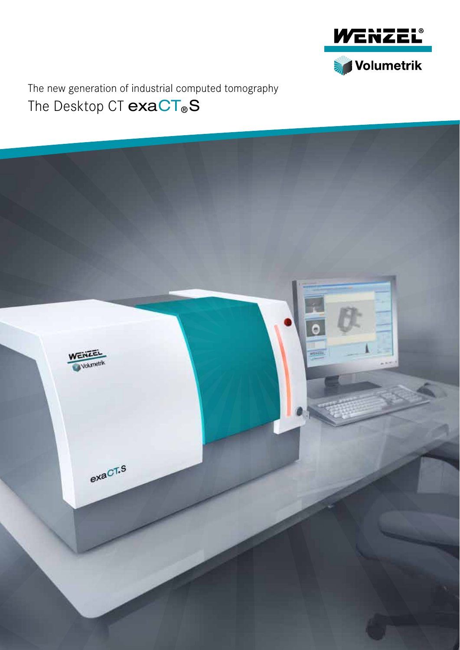

The Desktop CT  $exaCT_{\circ}S$ The new generation of industrial computed tomography

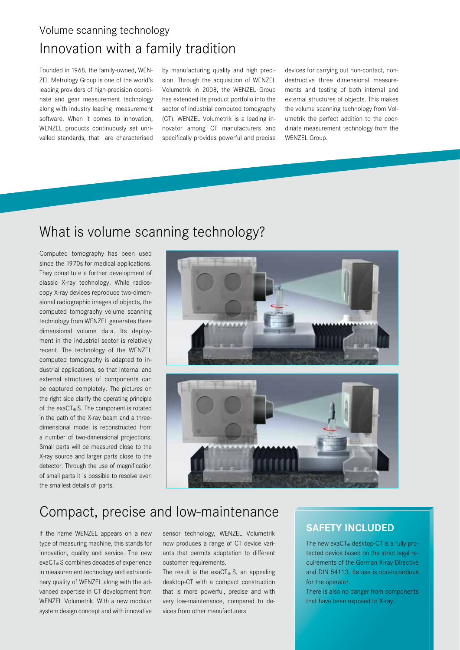## Innovation with a family tradition Volume scanning technology

Founded in 1968, the family-owned, WEN-ZEL Metrology Group is one of the world's leading providers of high-precision coordinate and gear measurement technology along with industry leading measurement software. When it comes to innovation, WENZEL products continuously set unrivalled standards, that are characterised

by manufacturing quality and high precision. Through the acquisition of WENZEL Volumetrik in 2008, the WENZEL Group has extended its product portfolio into the sector of industrial computed tomography (CT). WENZEL Volumetrik is a leading innovator among CT manufacturers and specifically provides powerful and precise devices for carrying out non-contact, nondestructive three dimensional measurements and testing of both internal and external structures of objects. This makes the volume scanning technology from Volumetrik the perfect addition to the coordinate measurement technology from the WENZEL Group.

## What is volume scanning technology?

Computed tomography has been used since the 1970s for medical applications. They constitute a further development of classic X-ray technology. While radioscopy X-ray devices reproduce two-dimensional radiographic images of objects, the computed tomography volume scanning technology from WENZEL generates three dimensional volume data. Its deployment in the industrial sector is relatively recent. The technology of the WENZEL computed tomography is adapted to industrial applications, so that internal and external structures of components can be captured completely. The pictures on the right side clarify the operating principle of the exaCT® S. The component is rotated in the path of the X-ray beam and a threedimensional model is reconstructed from a number of two-dimensional projections. Small parts will be measured close to the X-ray source and larger parts close to the detector. Through the use of magnification of small parts it is possible to resolve even the smallest details of parts.



## Compact, precise and low-maintenance

If the name WENZEL appears on a new type of measuring machine, this stands for innovation, quality and service. The new exaCT®S combines decades of experience in measurement technology and extraordinary quality of WENZEL along with the advanced expertise in CT development from WENZEL Volumetrik. With a new modular system design concept and with innovative sensor technology, WENZEL Volumetrik now produces a range of CT device variants that permits adaptation to different customer requirements.

The result is the exaCT<sup>®</sup> S, an appealing desktop-CT with a compact construction that is more powerful, precise and with very low-maintenance, compared to devices from other manufacturers.

### **SAFETY INCLUDED**

The new exaCT® desktop-CT is a fully protected device based on the strict legal requirements of the German X-ray Directive and DIN 54113. Its use is non-hazardous for the operator.

There is also no danger from components that have been exposed to X-ray.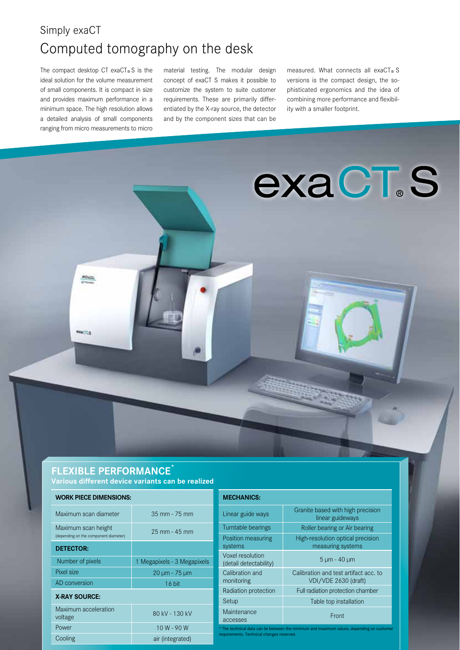## Simply exaCT Computed tomography on the desk

The compact desktop CT exaCT®S is the ideal solution for the volume measurement of small components. It is compact in size and provides maximum performance in a minimum space. The high resolution allows a detailed analysis of small components ranging from micro measurements to micro

**HENTE** 

**WACTLE** 

material testing. The modular design concept of exaCT S makes it possible to customize the system to suite customer requirements. These are primarily differentiated by the X-ray source, the detector and by the component sizes that can be

measured. What connects all exaCT® S versions is the compact design, the sophisticated ergonomics and the idea of combining more performance and flexibility with a smaller footprint.

**exaCT.S** 

### **Flexible performance\***

**work piece dimensions:**

**Various different device variants can be realized**

| wyw.w.coccumulto.com                                         |                             |  |
|--------------------------------------------------------------|-----------------------------|--|
| Maximum scan diameter                                        | $35 \, \text{mm}$ - 75 mm   |  |
| Maximum scan height<br>(depending on the component diameter) | 25 mm - 45 mm               |  |
| <b>DETECTOR:</b>                                             |                             |  |
| Number of pixels                                             | 1 Megapixels - 3 Megapixels |  |
| Pixel size                                                   | 20 µm - 75 µm               |  |
| AD conversion                                                | $16$ bit                    |  |
| <b>X-RAY SOURCE:</b>                                         |                             |  |
| Maximum acceleration<br>voltage                              | 80 kV - 130 kV              |  |
| Power                                                        | $10 W - 90 W$               |  |
| Cooling                                                      | air (integrated)            |  |

| <b>MECHANICS:</b>                                                                                                                       |                                                               |  |
|-----------------------------------------------------------------------------------------------------------------------------------------|---------------------------------------------------------------|--|
| Linear guide ways                                                                                                                       | Granite based with high precision<br>linear guideways         |  |
| Turntable bearings                                                                                                                      | Roller bearing or Air bearing                                 |  |
| Position measuring<br>systems                                                                                                           | High-resolution optical precision<br>measuring systems        |  |
| Voxel resolution<br>(detail detectability)                                                                                              | 5 µm - 40 µm                                                  |  |
| Calibration and<br>monitoring                                                                                                           | Calibration and test artifact acc. to<br>VDI/VDE 2630 (draft) |  |
| Radiation protection                                                                                                                    | Full radiation protection chamber                             |  |
| Setup                                                                                                                                   | Table top installation                                        |  |
| Maintenance<br>accesses                                                                                                                 | Front                                                         |  |
| * The technical data can lie between the minimum and maximum values, depending on customer<br>requirements. Technical changes reserved. |                                                               |  |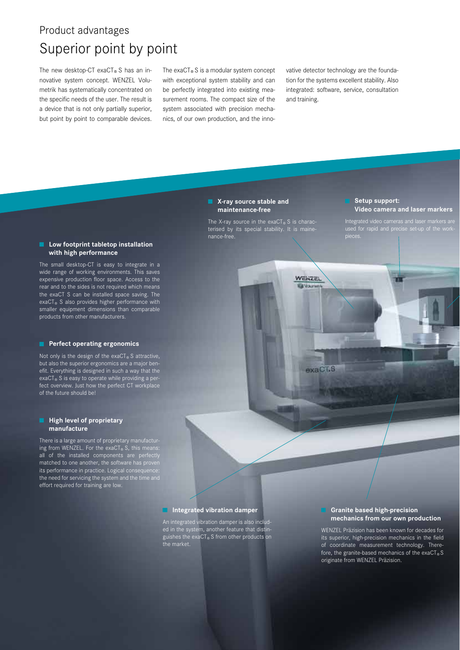## Product advantages Superior point by point

The new desktop-CT exaCT® S has an innovative system concept. WENZEL Volumetrik has systematically concentrated on the specific needs of the user. The result is a device that is not only partially superior, but point by point to comparable devices.

The  $exaCT<sub>®</sub>S$  is a modular system concept with exceptional system stability and can be perfectly integrated into existing measurement rooms. The compact size of the system associated with precision mechanics, of our own production, and the innovative detector technology are the foundation for the systems excellent stability. Also integrated: software, service, consultation and training.

#### **K-ray source stable and maintenance-free**

The X-ray source in the exaCT® S is charac-<br>terised by its special stability. It is mainenance-free.

**WENZEL** 

 $axaC$ <sup>T.S</sup>

#### **Setup support: Video camera and laser markers**

Integrated video cameras and laser markers are

#### $\blacksquare$  Low footprint tabletop installation  **with high performance**

The small desktop-CT is easy to integrate in a wide range of working environments. This saves expensive production floor space. Access to the rear and to the sides is not required which means the exaCT S can be installed space saving. The exaCT<sup>®</sup> S also provides higher performance with smaller equipment dimensions than comparable products from other manufacturers.

#### **Perfect operating ergonomics**

Not only is the design of the  $exaCT_{@}S$  attractive, but also the superior ergonomics are a major benefit. Everything is designed in such a way that the exaCT® S is easy to operate while providing a perfect overview. Just how the perfect CT workplace of the future should be!

#### **High level of proprietary manufacture**

There is a large amount of proprietary manufacturing from WENZEL. For the exaCT® S, this means: all of the installed components are perfectly matched to one another, the software has proven matched to one another, the software has prover<br>its performance in practice. Logical consequence the need for servicing the system and the time and effort required for training are low.

#### $I$  Integrated vibration damper

An integrated vibration damper is also included in the system, another feature that distinguishes the exaCT<sub>®</sub>S from other products on<br>the market.

#### **Granite based high-precision mechanics from our own production**

WENZEL Präzision has been known for decades for its superior, high-precision mechanics in the field of coordinate measurement technology. Therefore, the granite-based mechanics of the exaCT<sup>®</sup>S originate from WENZEL Präzision.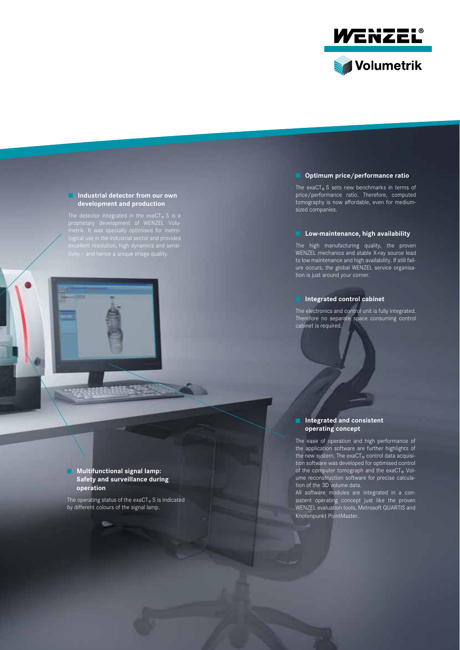

#### **I** Industrial detector from our own  **development and production**

The detector integrated in the exaCT®S is a<br>proprietary development of WENZEL Volu-

#### $\blacksquare$  Optimum price/performance ratio

The exaCT® S sets new benchmarks in terms of price/performance ratio. Therefore, computed tomography is now affordable, even for mediumsized companies.

#### *Low-maintenance, high availability*

The high manufacturing quality, the proven WENZEL mechanics and stable X-ray source lead to low maintenance and high availability. If still failure occurs, the global WENZEL service organisation is just around your corner.

#### **Integrated control cabinet**

The electronics and control unit is fully integrated. Therefore no separate space consuming control cabinet is required.

#### $\blacksquare$  Integrated and consistent  **operating concept**

The ease of operation and high performance of the application software are further highlights of the new system. The  $exaCT_{\circledcirc}$  control data acquisition software was developed for optimised control of the computer tomograph and the exaCT® Volume reconstruction software for precise calculation of the 3D volume data.

All software modules are integrated in a consistent operating concept just like the proven WENZEL evaluation tools, Metrosoft QUARTIS and Knotenpunkt PointMaster.

#### **Multifunctional signal lamp: Safety and surveillance during operation**

The operating status of the exaCT® S is indicated by different colours of the signal lamp.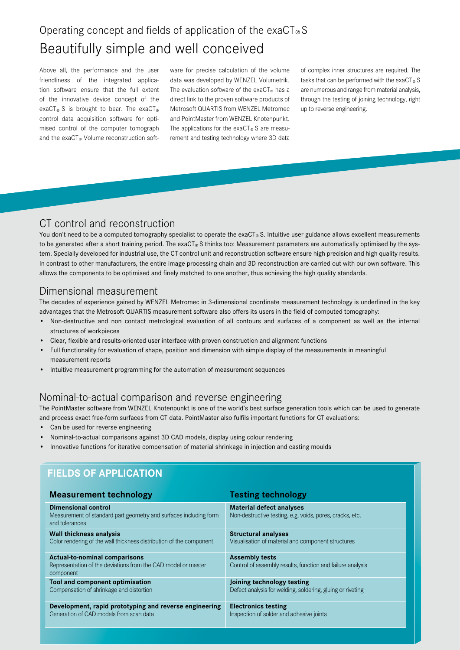## Operating concept and fields of application of the exaCT®S Beautifully simple and well conceived

Above all, the performance and the user friendliness of the integrated application software ensure that the full extent of the innovative device concept of the exaCT® S is brought to bear. The exaCT® control data acquisition software for optimised control of the computer tomograph and the exaCT® Volume reconstruction software for precise calculation of the volume data was developed by WENZEL Volumetrik. The evaluation software of the exaCT<sup>®</sup> has a direct link to the proven software products of Metrosoft QUARTIS from WENZEL Metromec and PointMaster from WENZEL Knotenpunkt. The applications for the exaCT® S are measurement and testing technology where 3D data of complex inner structures are required. The tasks that can be performed with the exaCT®S are numerous and range from material analysis, through the testing of joining technology, right up to reverse engineering.

### CT control and reconstruction

You don't need to be a computed tomography specialist to operate the exaCT® S. Intuitive user guidance allows excellent measurements to be generated after a short training period. The exaCT® S thinks too: Measurement parameters are automatically optimised by the system. Specially developed for industrial use, the CT control unit and reconstruction software ensure high precision and high quality results. In contrast to other manufacturers, the entire image processing chain and 3D reconstruction are carried out with our own software. This allows the components to be optimised and finely matched to one another, thus achieving the high quality standards.

### Dimensional measurement

The decades of experience gained by WENZEL Metromec in 3-dimensional coordinate measurement technology is underlined in the key advantages that the Metrosoft QUARTIS measurement software also offers its users in the field of computed tomography:

- • Non-destructive and non contact metrological evaluation of all contours and surfaces of a component as well as the internal structures of workpieces
- Clear, flexible and results-oriented user interface with proven construction and alignment functions
- Full functionality for evaluation of shape, position and dimension with simple display of the measurements in meaningful measurement reports
- Intuitive measurement programming for the automation of measurement sequences

### Nominal-to-actual comparison and reverse engineering

The PointMaster software from WENZEL Knotenpunkt is one of the world's best surface generation tools which can be used to generate and process exact free-form surfaces from CT data. PointMaster also fulfils important functions for CT evaluations:

- Can be used for reverse engineering
- Nominal-to-actual comparisons against 3D CAD models, display using colour rendering
- Innovative functions for iterative compensation of material shrinkage in injection and casting moulds

### **Fields of application**

| <b>Measurement technology</b>                                                                                      | <b>Testing technology</b>                                                                   |
|--------------------------------------------------------------------------------------------------------------------|---------------------------------------------------------------------------------------------|
| <b>Dimensional control</b><br>Measurement of standard part geometry and surfaces including form<br>and tolerances  | <b>Material defect analyses</b><br>Non-destructive testing, e.g. voids, pores, cracks, etc. |
| <b>Wall thickness analysis</b>                                                                                     | <b>Structural analyses</b>                                                                  |
| Color rendering of the wall thickness distribution of the component                                                | Visualisation of material and component structures                                          |
| <b>Actual-to-nominal comparisons</b><br>Representation of the deviations from the CAD model or master<br>component | <b>Assembly tests</b><br>Control of assembly results, function and failure analysis         |
| <b>Tool and component optimisation</b>                                                                             | Joining technology testing                                                                  |
| Compensation of shrinkage and distortion                                                                           | Defect analysis for welding, soldering, gluing or riveting                                  |
| Development, rapid prototyping and reverse engineering                                                             | <b>Electronics testing</b>                                                                  |
| Generation of CAD models from scan data                                                                            | Inspection of solder and adhesive joints                                                    |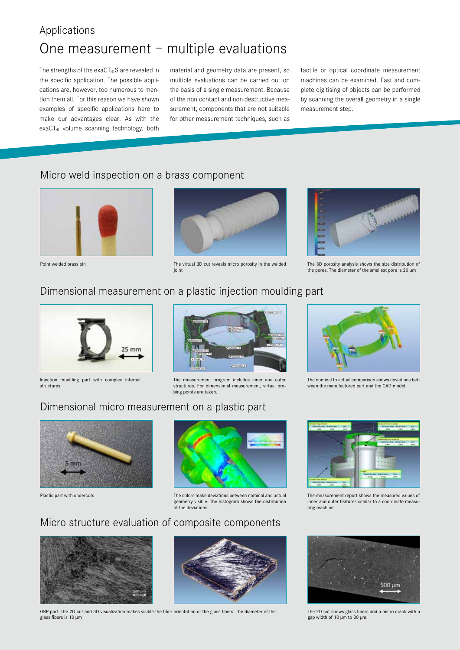## Applications One measurement – multiple evaluations

The strengths of the exaCT®S are revealed in the specific application. The possible applications are, however, too numerous to mention them all. For this reason we have shown examples of specific applications here to make our advantages clear. As with the exaCT<sup>®</sup> volume scanning technology, both

material and geometry data are present, so multiple evaluations can be carried out on the basis of a single measurement. Because of the non contact and non destructive measurement, components that are not suitable for other measurement techniques, such as

tactile or optical coordinate measurement machines can be examined. Fast and complete digitising of objects can be performed by scanning the overall geometry in a single measurement step.

### Micro weld inspection on a brass component



Point welded brass pin



The virtual 3D cut reveals micro porosity in the welded joint



The 3D porosity analysis shows the size distribution of the pores. The diameter of the smallest pore is 20 µm

### Dimensional measurement on a plastic injection moulding part



Injection moulding part with complex internal structures



The measurement program includes inner and outer structures. For dimensional measurement, virtual probing points are taken.



The nominal to actual comparison shows deviations between the manufactured part and the CAD model.

### Dimensional micro measurement on a plastic part



Plastic part with undercuts



The colors make deviations between nominal and actual geometry visible. The histogram shows the distribution of the deviations.

### Micro structure evaluation of composite components



GRP part: The 2D cut and 3D visualization makes visible the fiber orientation of the glass fibers. The diameter of the glass fibers is 10 µm



The measurement report shows the measured values of inner and outer features similar to a coordinate measuring machine



The 2D cut shows glass fibers and a micro crack with a gap width of 10 µm to 30 µm.